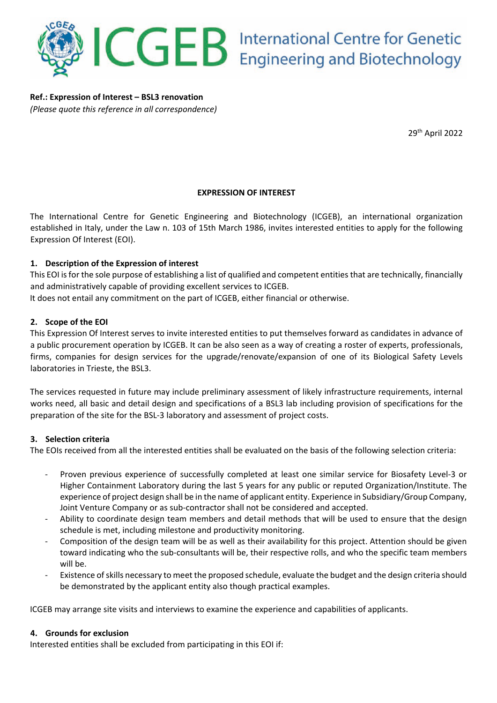

**Ref.: Expression of Interest – BSL3 renovation** *(Please quote this reference in all correspondence)*

29th April 2022

## **EXPRESSION OF INTEREST**

The International Centre for Genetic Engineering and Biotechnology (ICGEB), an international organization established in Italy, under the Law n. 103 of 15th March 1986, invites interested entities to apply for the following Expression Of Interest (EOI).

### **1. Description of the Expression of interest**

This EOI is for the sole purpose of establishing a list of qualified and competent entities that are technically, financially and administratively capable of providing excellent services to ICGEB.

It does not entail any commitment on the part of ICGEB, either financial or otherwise.

#### **2. Scope of the EOI**

This Expression Of Interest serves to invite interested entities to put themselves forward as candidates in advance of a public procurement operation by ICGEB. It can be also seen as a way of creating a roster of experts, professionals, firms, companies for design services for the upgrade/renovate/expansion of one of its Biological Safety Levels laboratories in Trieste, the BSL3.

The services requested in future may include preliminary assessment of likely infrastructure requirements, internal works need, all basic and detail design and specifications of a BSL3 lab including provision of specifications for the preparation of the site for the BSL-3 laboratory and assessment of project costs.

#### **3. Selection criteria**

The EOIs received from all the interested entities shall be evaluated on the basis of the following selection criteria:

- Proven previous experience of successfully completed at least one similar service for Biosafety Level-3 or Higher Containment Laboratory during the last 5 years for any public or reputed Organization/Institute. The experience of project design shall be in the name of applicant entity. Experience in Subsidiary/Group Company, Joint Venture Company or as sub-contractor shall not be considered and accepted.
- Ability to coordinate design team members and detail methods that will be used to ensure that the design schedule is met, including milestone and productivity monitoring.
- Composition of the design team will be as well as their availability for this project. Attention should be given toward indicating who the sub-consultants will be, their respective rolls, and who the specific team members will be.
- Existence of skills necessary to meet the proposed schedule, evaluate the budget and the design criteria should be demonstrated by the applicant entity also though practical examples.

ICGEB may arrange site visits and interviews to examine the experience and capabilities of applicants.

#### **4. Grounds for exclusion**

Interested entities shall be excluded from participating in this EOI if: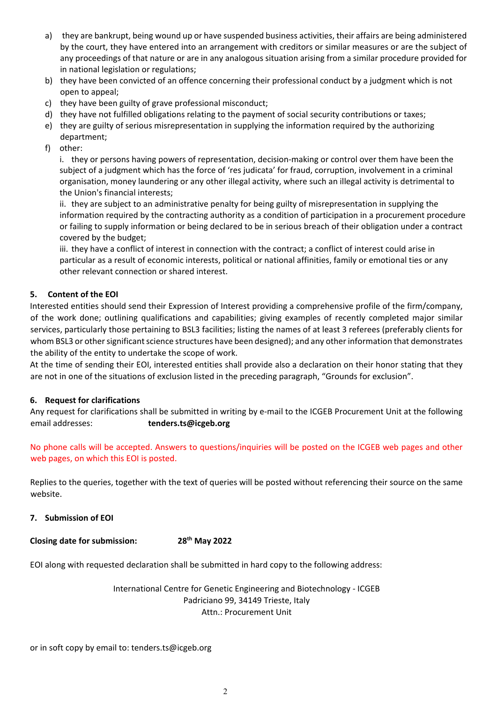- a) they are bankrupt, being wound up or have suspended business activities, their affairs are being administered by the court, they have entered into an arrangement with creditors or similar measures or are the subject of any proceedings of that nature or are in any analogous situation arising from a similar procedure provided for in national legislation or regulations;
- b) they have been convicted of an offence concerning their professional conduct by a judgment which is not open to appeal;
- c) they have been guilty of grave professional misconduct;
- d) they have not fulfilled obligations relating to the payment of social security contributions or taxes;
- e) they are guilty of serious misrepresentation in supplying the information required by the authorizing department;
- f) other:

i. they or persons having powers of representation, decision-making or control over them have been the subject of a judgment which has the force of 'res judicata' for fraud, corruption, involvement in a criminal organisation, money laundering or any other illegal activity, where such an illegal activity is detrimental to the Union's financial interests;

ii. they are subject to an administrative penalty for being guilty of misrepresentation in supplying the information required by the contracting authority as a condition of participation in a procurement procedure or failing to supply information or being declared to be in serious breach of their obligation under a contract covered by the budget;

iii. they have a conflict of interest in connection with the contract; a conflict of interest could arise in particular as a result of economic interests, political or national affinities, family or emotional ties or any other relevant connection or shared interest.

## **5. Content of the EOI**

Interested entities should send their Expression of Interest providing a comprehensive profile of the firm/company, of the work done; outlining qualifications and capabilities; giving examples of recently completed major similar services, particularly those pertaining to BSL3 facilities; listing the names of at least 3 referees (preferably clients for whom BSL3 or other significant science structures have been designed); and any other information that demonstrates the ability of the entity to undertake the scope of work.

At the time of sending their EOI, interested entities shall provide also a declaration on their honor stating that they are not in one of the situations of exclusion listed in the preceding paragraph, "Grounds for exclusion".

### **6. Request for clarifications**

Any request for clarifications shall be submitted in writing by e-mail to the ICGEB Procurement Unit at the following email addresses: **tenders.ts@icgeb.org**

No phone calls will be accepted. Answers to questions/inquiries will be posted on the ICGEB web pages and other web pages, on which this EOI is posted.

Replies to the queries, together with the text of queries will be posted without referencing their source on the same website.

### **7. Submission of EOI**

**Closing date for submission: 28th May 2022**

EOI along with requested declaration shall be submitted in hard copy to the following address:

International Centre for Genetic Engineering and Biotechnology - ICGEB Padriciano 99, 34149 Trieste, Italy Attn.: Procurement Unit

or in soft copy by email to: tenders.ts@icgeb.org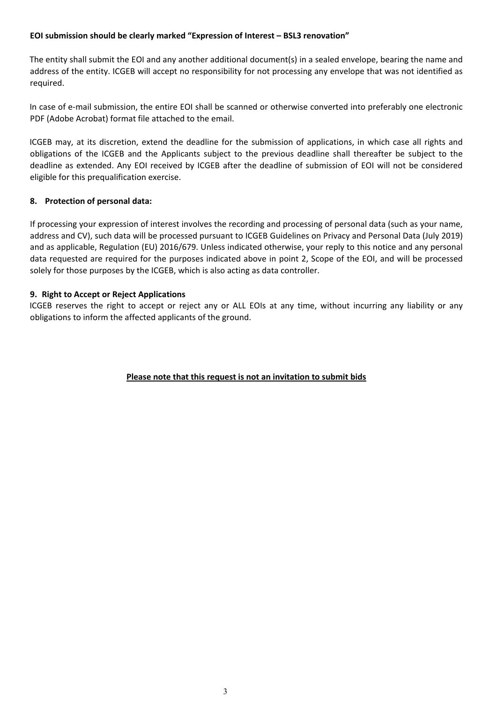#### **EOI submission should be clearly marked "Expression of Interest – BSL3 renovation"**

The entity shall submit the EOI and any another additional document(s) in a sealed envelope, bearing the name and address of the entity. ICGEB will accept no responsibility for not processing any envelope that was not identified as required.

In case of e-mail submission, the entire EOI shall be scanned or otherwise converted into preferably one electronic PDF (Adobe Acrobat) format file attached to the email.

ICGEB may, at its discretion, extend the deadline for the submission of applications, in which case all rights and obligations of the ICGEB and the Applicants subject to the previous deadline shall thereafter be subject to the deadline as extended. Any EOI received by ICGEB after the deadline of submission of EOI will not be considered eligible for this prequalification exercise.

#### **8. Protection of personal data:**

If processing your expression of interest involves the recording and processing of personal data (such as your name, address and CV), such data will be processed pursuant to ICGEB Guidelines on Privacy and Personal Data (July 2019) and as applicable, Regulation (EU) 2016/679. Unless indicated otherwise, your reply to this notice and any personal data requested are required for the purposes indicated above in point 2, Scope of the EOI, and will be processed solely for those purposes by the ICGEB, which is also acting as data controller.

#### **9. Right to Accept or Reject Applications**

ICGEB reserves the right to accept or reject any or ALL EOIs at any time, without incurring any liability or any obligations to inform the affected applicants of the ground.

### **Please note that this request is not an invitation to submit bids**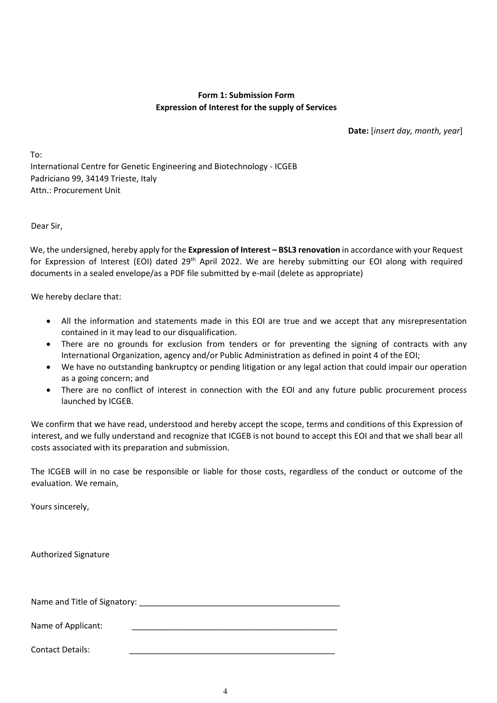#### **Form 1: Submission Form Expression of Interest for the supply of Services**

**Date:** [*insert day, month, year*]

To: International Centre for Genetic Engineering and Biotechnology - ICGEB Padriciano 99, 34149 Trieste, Italy Attn.: Procurement Unit

Dear Sir,

We, the undersigned, hereby apply for the **Expression of Interest – BSL3 renovation** in accordance with your Request for Expression of Interest (EOI) dated 29<sup>th</sup> April 2022. We are hereby submitting our EOI along with required documents in a sealed envelope/as a PDF file submitted by e-mail (delete as appropriate)

We hereby declare that:

- All the information and statements made in this EOI are true and we accept that any misrepresentation contained in it may lead to our disqualification.
- There are no grounds for exclusion from tenders or for preventing the signing of contracts with any International Organization, agency and/or Public Administration as defined in point 4 of the EOI;
- We have no outstanding bankruptcy or pending litigation or any legal action that could impair our operation as a going concern; and
- There are no conflict of interest in connection with the EOI and any future public procurement process launched by ICGEB.

We confirm that we have read, understood and hereby accept the scope, terms and conditions of this Expression of interest, and we fully understand and recognize that ICGEB is not bound to accept this EOI and that we shall bear all costs associated with its preparation and submission.

The ICGEB will in no case be responsible or liable for those costs, regardless of the conduct or outcome of the evaluation. We remain,

Yours sincerely,

Authorized Signature

Name and Title of Signatory: \_\_\_\_\_\_\_\_\_\_\_\_\_\_\_\_\_\_\_\_\_\_\_\_\_\_\_\_\_\_\_\_\_\_\_\_\_\_\_\_\_\_\_\_

Name of Applicant:

Contact Details: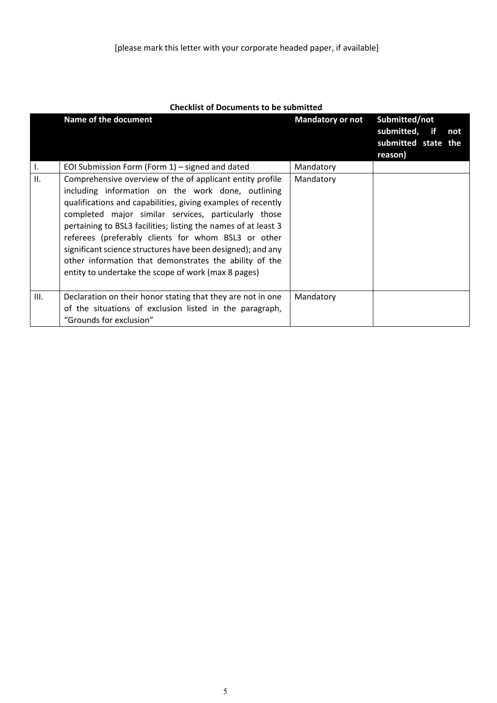|      | Name of the document                                                                                                                                                                                                                                                                                                                                                                                                                                                                                                                            | <b>Mandatory or not</b> | Submitted/not<br>submitted, if<br>not<br>submitted state the<br>reason) |  |
|------|-------------------------------------------------------------------------------------------------------------------------------------------------------------------------------------------------------------------------------------------------------------------------------------------------------------------------------------------------------------------------------------------------------------------------------------------------------------------------------------------------------------------------------------------------|-------------------------|-------------------------------------------------------------------------|--|
| I.   | EOI Submission Form (Form $1$ ) – signed and dated                                                                                                                                                                                                                                                                                                                                                                                                                                                                                              | Mandatory               |                                                                         |  |
| II.  | Comprehensive overview of the of applicant entity profile<br>including information on the work done, outlining<br>qualifications and capabilities, giving examples of recently<br>completed major similar services, particularly those<br>pertaining to BSL3 facilities; listing the names of at least 3<br>referees (preferably clients for whom BSL3 or other<br>significant science structures have been designed); and any<br>other information that demonstrates the ability of the<br>entity to undertake the scope of work (max 8 pages) | Mandatory               |                                                                         |  |
| III. | Declaration on their honor stating that they are not in one<br>of the situations of exclusion listed in the paragraph,<br>"Grounds for exclusion"                                                                                                                                                                                                                                                                                                                                                                                               | Mandatory               |                                                                         |  |

### **Checklist of Documents to be submitted**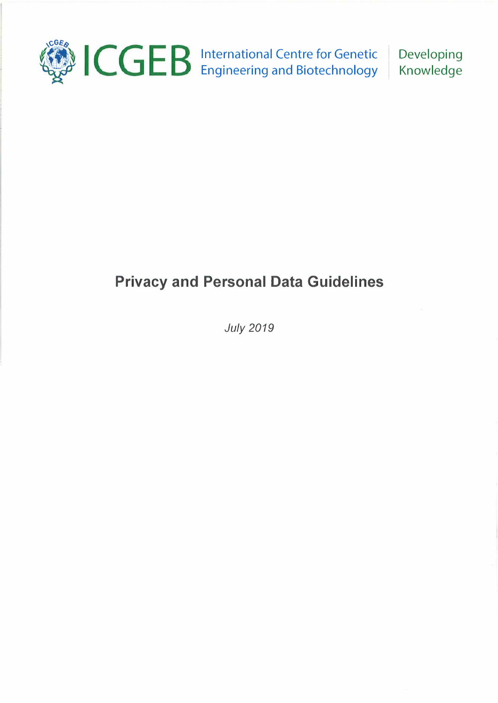

International Centre for Genetic Engineering and Biotechnology Developing Knowledge

# **Privacy and Personal Data Guidelines**

*July 2019*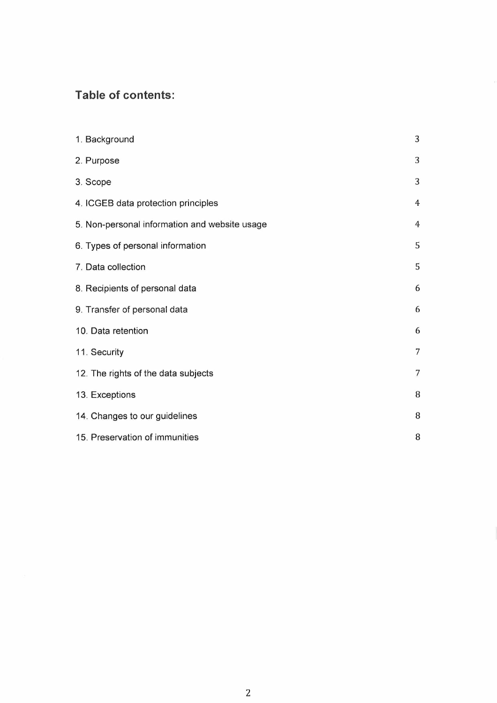# **Table of contents:**

| 1. Background                                 | 3              |
|-----------------------------------------------|----------------|
| 2. Purpose                                    | 3              |
| 3. Scope                                      | 3              |
| 4. ICGEB data protection principles           | $\overline{4}$ |
| 5. Non-personal information and website usage | $\overline{4}$ |
| 6. Types of personal information              | 5              |
| 7. Data collection                            | 5              |
| 8. Recipients of personal data                | 6              |
| 9. Transfer of personal data                  | 6              |
| 10. Data retention                            | 6              |
| 11. Security                                  | $\overline{7}$ |
| 12. The rights of the data subjects           | 7              |
| 13. Exceptions                                | 8              |
| 14. Changes to our guidelines                 | 8              |
| 15. Preservation of immunities                | 8              |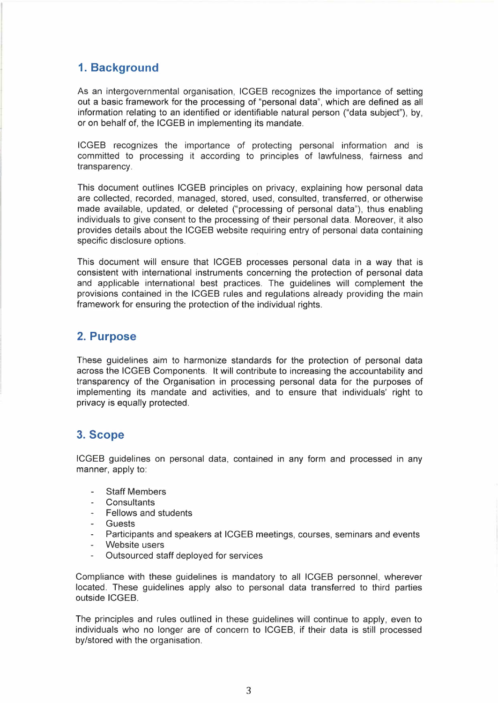# **1. Background**

As an intergovernmental organisation, ICGEB recognizes the importance of setting out a basic framework for the processing of "personal data", which are defined as all information relating to an identified or identifiable natural person ("data subject"), by, or on behalf of, the ICGEB in implementing its mandate.

ICGEB recognizes the importance of protecting personal information and is committed to processing it according to principles of lawfulness, fairness and transparency.

This document outlines ICGEB principles on privacy, explaining how personal data are collected, recorded, managed, stored, used, consulted, transferred, or otherwise made available, updated, or deleted ("processing of personal data"), thus enabling individuals to give consent to the processing of their personal data. Moreover, it also provides details about the ICGEB website requiring entry of personal data containing specific disclosure options.

This document will ensure that ICGEB processes personal data in a way that is consistent with international instruments concerning the protection of personal data and applicable international best practices. The guidelines will complement the provisions contained in the ICGEB rules and regulations already providing the main framework for ensuring the protection of the individual rights.

## **2. Purpose**

These guidelines aim to harmonize standards for the protection of personal data across the ICGEB Components. It will contribute to increasing the accountability and transparency of the Organisation in processing personal data for the purposes of implementing its mandate and activities, and to ensure that individuals' right to privacy is equally protected.

## **3.Scope**

ICGEB guidelines on personal data, contained in any form and processed in any manner, apply to:

- Staff Members
- **Consultants**
- Fellows and students
- Guests
- Participants and speakers at ICGEB meetings, courses, seminars and events
- Website users
- Outsourced staff deployed for services

Compliance with these guidelines is mandatory to all ICGEB personnel, wherever located. These guidelines apply also to personal data transferred to third parties outside ICGEB.

The principles and rules outlined in these guidelines will continue to apply, even to individuals who no longer are of concern to ICGEB, if their data is still processed by/stored with the organisation.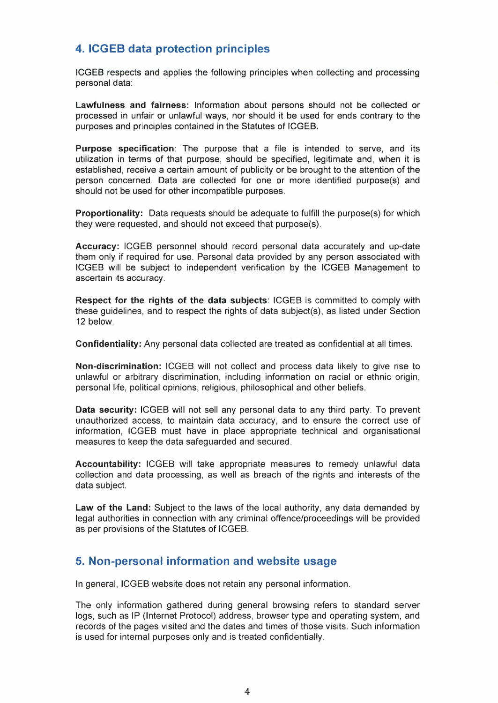# **4. ICGEB data protection principles**

ICGEB respects and applies the following principles when collecting and processing personal data:

**Lawfulness and fairness:** Information about persons should not be collected or processed in unfair or unlawful ways, nor should it be used for ends contrary to the purposes and principles contained in the Statutes of ICGEB.

**Purpose specification:** The purpose that a file is intended to serve, and its utilization in terms of that purpose, should be specified, legitimate and, when it is established, receive a certain amount of publicity or be brought to the attention of the person concerned. Data are collected for one or more identified purpose(s) and should not be used for other incompatible purposes.

**Proportionality:** Data requests should be adequate to fulfill the purpose(s) for which they were requested, and should not exceed that purpose(s).

**Accuracy:** ICGEB personnel should record personal data accurately and up-date them only if required for use. Personal data provided by any person associated with ICGEB will be subject to independent verification by the ICGEB Management to ascertain its accuracy.

**Respect for the rights of the data subjects:** ICGEB is committed to comply with these guidelines, and to respect the rights of data subject(s), as listed under Section 12 below.

**Confidentiality:** Any personal data collected are treated as confidential at all times.

**Non-discrimination:** ICGEB will not collect and process data likely to give rise to unlawful or arbitrary discrimination, including information on racial or ethnic origin, personal life, political opinions, religious, philosophical and other beliefs.

**Data security:** ICGEB will not sell any personal data to any third party. To prevent unauthorized access, to maintain data accuracy, and to ensure the correct use of information, ICGEB must have in place appropriate technical and organisational measures to keep the data safeguarded and secured.

**Accountability:** ICGEB will take appropriate measures to remedy unlawful data collection and data processing, as well as breach of the rights and interests of the data subject.

**Law of the Land:** Subject to the laws of the local authority, any data demanded by legal authorities in connection with any criminal offence/proceedings will be provided as per provisions of the Statutes of ICGEB.

## **5. Non-personal information and website usage**

In general, ICGEB website does not retain any personal information.

The only information gathered during general browsing refers to standard server logs, such as IP (Internet Protocol) address, browser type and operating system, and records of the pages visited and the dates and times of those visits. Such information is used for internal purposes only and is treated confidentially.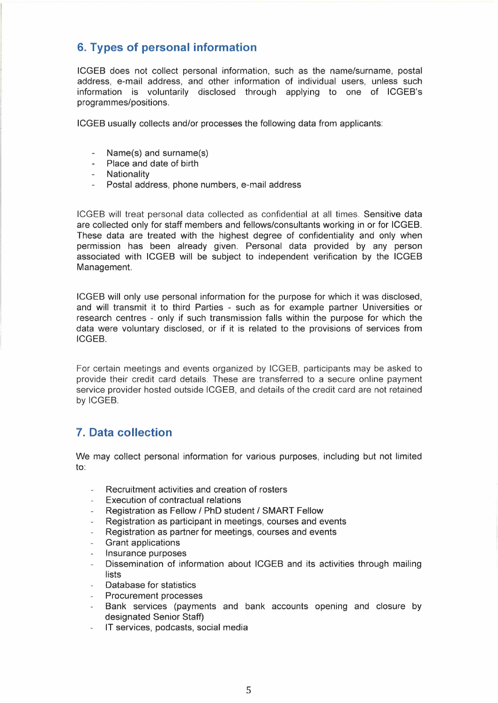# **6. Types of personal information**

ICGEB does not collect personal information, such as the name/surname, postal address, e-mail address, and other information of individual users, unless such information is voluntarily disclosed through applying to one of ICGEB's programmes/positions.

ICGEB usually collects and/or processes the following data from applicants:

- Name(s) and surname(s)
- Place and date of birth
- Nationality
- Postal address, phone numbers, e-mail address

ICGEB will treat personal data collected as confidential at all times. Sensitive data are collected only for staff members and fellows/consultants working in or for ICGEB. These data are treated with the highest degree of confidentiality and only when permission has been already given. Personal data provided by any person associated with ICGEB will be subject to independent verification by the ICGEB Management.

ICGEB will only use personal information for the purpose for which it was disclosed, and will transmit it to third Parties - such as for example partner Universities or research centres - only if such transmission falls within the purpose for which the data were voluntary disclosed, or if it is related to the provisions of services from ICGEB.

For certain meetings and events organized by ICGEB, participants may be asked to provide their credit card details. These are transferred to a secure online payment service provider hosted outside ICGEB, and details of the credit card are not retained by ICGEB.

# **7. Data collection**

We may collect personal information for various purposes, including but not limited to:

- Recruitment activities and creation of rosters
- Execution of contractual relations
- Registration as Fellow/ PhD student/ SMART Fellow
- Registration as participant in meetings, courses and events
- Registration as partner for meetings, courses and events
- Grant applications
- Insurance purposes
- Dissemination of information about ICGEB and its activities through mailing  $\mathbf{r}$ lists
- Database for statistics
- Procurement processes
- Bank services (payments and bank accounts opening and closure by designated Senior Staff)
- IT services, podcasts, social media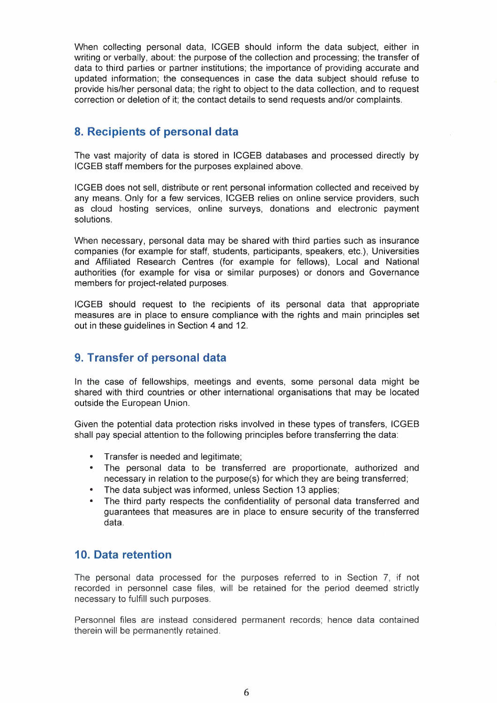When collecting personal data, ICGEB should inform the data subject, either in writing or verbally, about: the purpose of the collection and processing; the transfer of data to third parties or partner institutions; the importance of providing accurate and updated information; the consequences in case the data subject should refuse to provide his/her personal data; the right to object to the data collection, and to request correction or deletion of it; the contact details to send requests and/or complaints.

## **8. Recipients of personal data**

The vast majority of data is stored in ICGEB databases and processed directly by ICGEB staff members for the purposes explained above.

ICGEB does not sell, distribute or rent personal information collected and received by any means. Only for a few services, ICGEB relies on online service providers, such as cloud hosting services, online surveys, donations and electronic payment solutions.

When necessary, personal data may be shared with third parties such as insurance companies (for example for staff, students, participants, speakers, etc.), Universities and Affiliated Research Centres (for example for fellows), Local and National authorities (for example for visa or similar purposes) or donors and Governance members for project-related purposes.

ICGEB should request to the recipients of its personal data that appropriate measures are in place to ensure compliance with the rights and main principles set out in these guidelines in Section 4 and 12.

## **9. Transfer of personal data**

In the case of fellowships, meetings and events, some personal data might be shared with third countries or other international organisations that may be located outside the European Union.

Given the potential data protection risks involved in these types of transfers, ICGEB shall pay special attention to the following principles before transferring the data:

- Transfer is needed and legitimate;
- The personal data to be transferred are proportionate, authorized and necessary in relation to the purpose(s) for which they are being transferred;
- The data subject was informed, unless Section 13 applies;
- The third party respects the confidentiality of personal data transferred and guarantees that measures are in place to ensure security of the transferred data.

## **10. Data retention**

The personal data processed for the purposes referred to in Section 7, if not recorded in personnel case files, will be retained for the period deemed strictly necessary to fulfill such purposes.

Personnel files are instead considered permanent records; hence data contained therein will be permanently retained.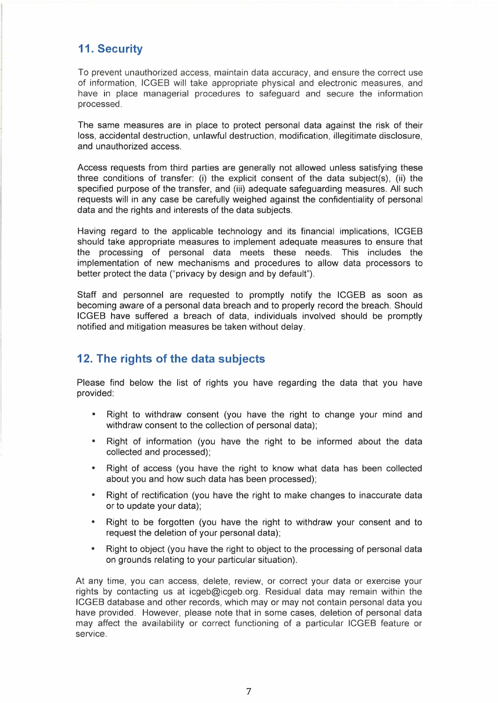## **11. Security**

To prevent unauthorized access, maintain data accuracy, and ensure the correct use of information, ICGEB will take appropriate physical and electronic measures, and have in place managerial procedures to safeguard and secure the information processed.

The same measures are in place to protect personal data against the risk of their loss, accidental destruction, unlawful destruction, modification, illegitimate disclosure, and unauthorized access.

Access requests from third parties are generally not allowed unless satisfying these three conditions of transfer: (i) the explicit consent of the data subject(s), (ii) the specified purpose of the transfer, and (iii) adequate safeguarding measures. All such requests will in any case be carefully weighed against the confidentiality of personal data and the rights and interests of the data subjects.

Having regard to the applicable technology and its financial implications, ICGEB should take appropriate measures to implement adequate measures to ensure that the processing of personal data meets these needs. This includes the implementation of new mechanisms and procedures to allow data processors to better protect the data ("privacy by design and by default").

Staff and personnel are requested to promptly notify the ICGEB as soon as becoming aware of a personal data breach and to properly record the breach. Should ICGEB have suffered a breach of data, individuals involved should be promptly notified and mitigation measures be taken without delay.

## **12. The rights of the data subjects**

Please find below the list of rights you have regarding the data that you have provided:

- Right to withdraw consent (you have the right to change your mind and withdraw consent to the collection of personal data);
- Right of information (you have the right to be informed about the data collected and processed);
- Right of access (you have the right to know what data has been collected about you and how such data has been processed);
- Right of rectification (you have the right to make changes to inaccurate data or to update your data);
- Right to be forgotten (you have the right to withdraw your consent and to request the deletion of your personal data);
- Right to object (you have the right to object to the processing of personal data on grounds relating to your particular situation).

At any time, you can access, delete, review, or correct your data or exercise your rights by contacting us at icgeb@icgeb.org. Residual data may remain within the ICGEB database and other records, which may or may not contain personal data you have provided. However, please note that in some cases, deletion of personal data may affect the availability or correct functioning of a particular ICGEB feature or service.